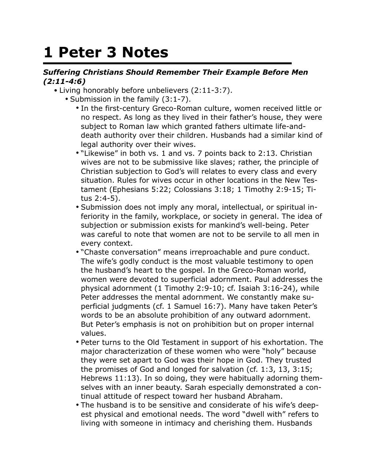## **1 Peter 3 Notes**

## *Suffering Christians Should Remember Their Example Before Men (2:11-4:6)*

- Living honorably before unbelievers (2:11-3:7).
	- Submission in the family (3:1-7).
		- In the first-century Greco-Roman culture, women received little or no respect. As long as they lived in their father's house, they were subject to Roman law which granted fathers ultimate life-anddeath authority over their children. Husbands had a similar kind of legal authority over their wives.
		- "Likewise" in both vs. 1 and vs. 7 points back to 2:13. Christian wives are not to be submissive like slaves; rather, the principle of Christian subjection to God's will relates to every class and every situation. Rules for wives occur in other locations in the New Testament (Ephesians 5:22; Colossians 3:18; 1 Timothy 2:9-15; Titus 2:4-5).
		- Submission does not imply any moral, intellectual, or spiritual inferiority in the family, workplace, or society in general. The idea of subjection or submission exists for mankind's well-being. Peter was careful to note that women are not to be servile to all men in every context.
		- "Chaste conversation" means irreproachable and pure conduct. The wife's godly conduct is the most valuable testimony to open the husband's heart to the gospel. In the Greco-Roman world, women were devoted to superficial adornment. Paul addresses the physical adornment (1 Timothy 2:9-10; cf. Isaiah 3:16-24), while Peter addresses the mental adornment. We constantly make superficial judgments (cf. 1 Samuel 16:7). Many have taken Peter's words to be an absolute prohibition of any outward adornment. But Peter's emphasis is not on prohibition but on proper internal values.
		- Peter turns to the Old Testament in support of his exhortation. The major characterization of these women who were "holy" because they were set apart to God was their hope in God. They trusted the promises of God and longed for salvation (cf. 1:3, 13, 3:15; Hebrews 11:13). In so doing, they were habitually adorning themselves with an inner beauty. Sarah especially demonstrated a continual attitude of respect toward her husband Abraham.
		- The husband is to be sensitive and considerate of his wife's deepest physical and emotional needs. The word "dwell with" refers to living with someone in intimacy and cherishing them. Husbands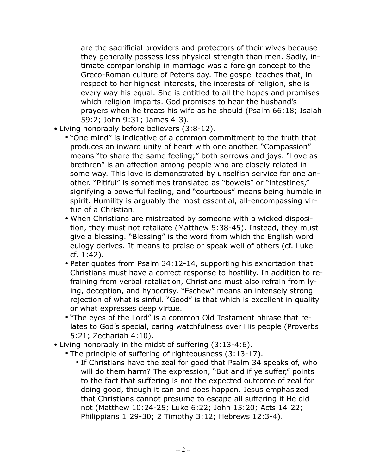are the sacrificial providers and protectors of their wives because they generally possess less physical strength than men. Sadly, intimate companionship in marriage was a foreign concept to the Greco-Roman culture of Peter's day. The gospel teaches that, in respect to her highest interests, the interests of religion, she is every way his equal. She is entitled to all the hopes and promises which religion imparts. God promises to hear the husband's prayers when he treats his wife as he should (Psalm 66:18; Isaiah 59:2; John 9:31; James 4:3).

- Living honorably before believers (3:8-12).
	- "One mind" is indicative of a common commitment to the truth that produces an inward unity of heart with one another. "Compassion" means "to share the same feeling;" both sorrows and joys. "Love as brethren" is an affection among people who are closely related in some way. This love is demonstrated by unselfish service for one another. "Pitiful" is sometimes translated as "bowels" or "intestines," signifying a powerful feeling, and "courteous" means being humble in spirit. Humility is arguably the most essential, all-encompassing virtue of a Christian.
	- When Christians are mistreated by someone with a wicked disposition, they must not retaliate (Matthew 5:38-45). Instead, they must give a blessing. "Blessing" is the word from which the English word eulogy derives. It means to praise or speak well of others (cf. Luke cf. 1:42).
	- Peter quotes from Psalm 34:12-14, supporting his exhortation that Christians must have a correct response to hostility. In addition to refraining from verbal retaliation, Christians must also refrain from lying, deception, and hypocrisy. "Eschew" means an intensely strong rejection of what is sinful. "Good" is that which is excellent in quality or what expresses deep virtue.
	- "The eyes of the Lord" is a common Old Testament phrase that relates to God's special, caring watchfulness over His people (Proverbs 5:21; Zechariah 4:10).
- Living honorably in the midst of suffering (3:13-4:6).
	- The principle of suffering of righteousness (3:13-17).
		- If Christians have the zeal for good that Psalm 34 speaks of, who will do them harm? The expression, "But and if ye suffer," points to the fact that suffering is not the expected outcome of zeal for doing good, though it can and does happen. Jesus emphasized that Christians cannot presume to escape all suffering if He did not (Matthew 10:24-25; Luke 6:22; John 15:20; Acts 14:22; Philippians 1:29-30; 2 Timothy 3:12; Hebrews 12:3-4).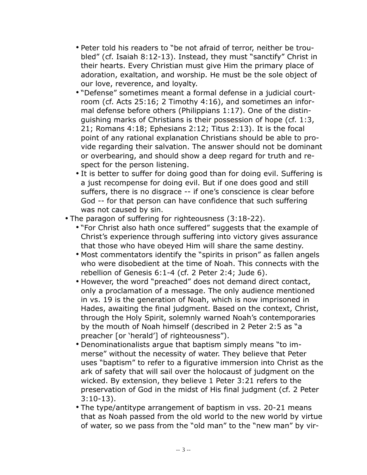- Peter told his readers to "be not afraid of terror, neither be troubled" (cf. Isaiah 8:12-13). Instead, they must "sanctify" Christ in their hearts. Every Christian must give Him the primary place of adoration, exaltation, and worship. He must be the sole object of our love, reverence, and loyalty.
- "Defense" sometimes meant a formal defense in a judicial courtroom (cf. Acts 25:16; 2 Timothy 4:16), and sometimes an informal defense before others (Philippians 1:17). One of the distinguishing marks of Christians is their possession of hope (cf. 1:3, 21; Romans 4:18; Ephesians 2:12; Titus 2:13). It is the focal point of any rational explanation Christians should be able to provide regarding their salvation. The answer should not be dominant or overbearing, and should show a deep regard for truth and respect for the person listening.
- It is better to suffer for doing good than for doing evil. Suffering is a just recompense for doing evil. But if one does good and still suffers, there is no disgrace -- if one's conscience is clear before God -- for that person can have confidence that such suffering was not caused by sin.
- The paragon of suffering for righteousness (3:18-22).
	- "For Christ also hath once suffered" suggests that the example of Christ's experience through suffering into victory gives assurance that those who have obeyed Him will share the same destiny.
	- Most commentators identify the "spirits in prison" as fallen angels who were disobedient at the time of Noah. This connects with the rebellion of Genesis 6:1-4 (cf. 2 Peter 2:4; Jude 6).
	- However, the word "preached" does not demand direct contact, only a proclamation of a message. The only audience mentioned in vs. 19 is the generation of Noah, which is now imprisoned in Hades, awaiting the final judgment. Based on the context, Christ, through the Holy Spirit, solemnly warned Noah's contemporaries by the mouth of Noah himself (described in 2 Peter 2:5 as "a preacher [or 'herald'] of righteousness").
	- Denominationalists argue that baptism simply means "to immerse" without the necessity of water. They believe that Peter uses "baptism" to refer to a figurative immersion into Christ as the ark of safety that will sail over the holocaust of judgment on the wicked. By extension, they believe 1 Peter 3:21 refers to the preservation of God in the midst of His final judgment (cf. 2 Peter 3:10-13).
	- The type/antitype arrangement of baptism in vss. 20-21 means that as Noah passed from the old world to the new world by virtue of water, so we pass from the "old man" to the "new man" by vir-